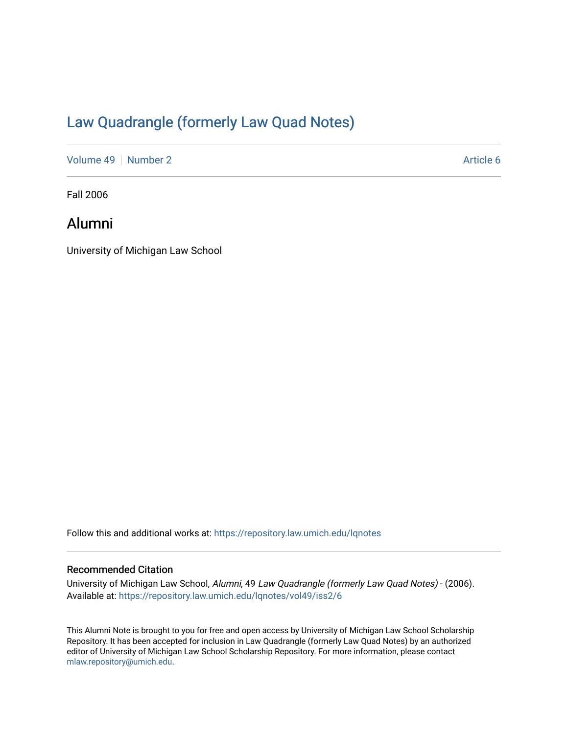# [Law Quadrangle \(formerly Law Quad Notes\)](https://repository.law.umich.edu/lqnotes)

[Volume 49](https://repository.law.umich.edu/lqnotes/vol49) [Number 2](https://repository.law.umich.edu/lqnotes/vol49/iss2) Article 6

Fall 2006

# Alumni

University of Michigan Law School

Follow this and additional works at: [https://repository.law.umich.edu/lqnotes](https://repository.law.umich.edu/lqnotes?utm_source=repository.law.umich.edu%2Flqnotes%2Fvol49%2Fiss2%2F6&utm_medium=PDF&utm_campaign=PDFCoverPages) 

#### Recommended Citation

University of Michigan Law School, Alumni, 49 Law Quadrangle (formerly Law Quad Notes) - (2006). Available at: [https://repository.law.umich.edu/lqnotes/vol49/iss2/6](https://repository.law.umich.edu/lqnotes/vol49/iss2/6?utm_source=repository.law.umich.edu%2Flqnotes%2Fvol49%2Fiss2%2F6&utm_medium=PDF&utm_campaign=PDFCoverPages) 

This Alumni Note is brought to you for free and open access by University of Michigan Law School Scholarship Repository. It has been accepted for inclusion in Law Quadrangle (formerly Law Quad Notes) by an authorized editor of University of Michigan Law School Scholarship Repository. For more information, please contact [mlaw.repository@umich.edu.](mailto:mlaw.repository@umich.edu)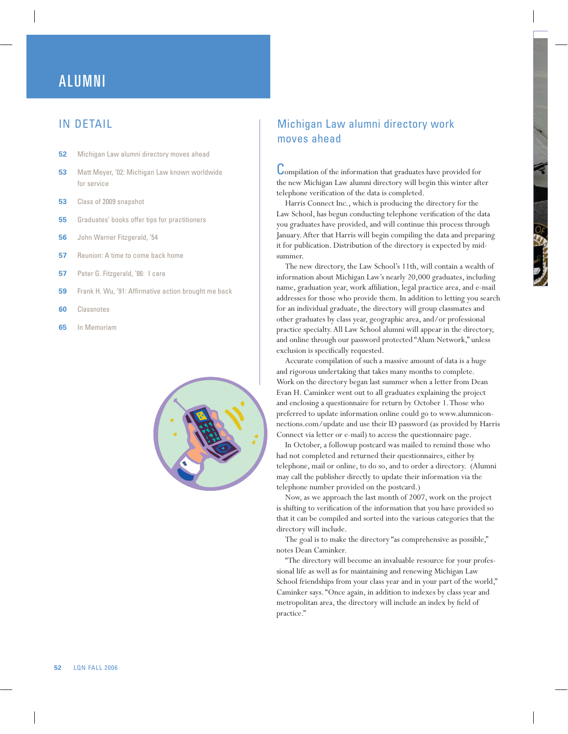# ALUMNI

#### IN DETAIL

- **52** Michigan Law alumni directory moves ahead
- **53** Matt Meyer, '02: Michigan Law known worldwide for service
- **53** Class of 2009 snapshot
- **55** Graduates' books offer tips for practitioners
- **56** John Warner Fitzgerald, '54
- **57** Reunion: A time to come back home
- **57** Peter G. Fitzgerald, '86: I care
- **59** Frank H. Wu, '91: Affirmative action brought me back
- **60** Classnotes
- **65** In Memoriam



### Michigan Law alumni directory work moves ahead

Compilation of the information that graduates have provided for the new Michigan Law alumni directory will begin this winter after telephone verification of the data is completed.

Harris Connect Inc., which is producing the directory for the Law School, has begun conducting telephone verification of the data you graduates have provided, and will continue this process through January. After that Harris will begin compiling the data and preparing it for publication. Distribution of the directory is expected by midsummer.

The new directory, the Law School's 11th, will contain a wealth of information about Michigan Law's nearly 20,000 graduates, including name, graduation year, work affiliation, legal practice area, and e-mail addresses for those who provide them. In addition to letting you search for an individual graduate, the directory will group classmates and other graduates by class year, geographic area, and/or professional practice specialty. All Law School alumni will appear in the directory, and online through our password protected "Alum Network," unless exclusion is specifically requested.

Accurate compilation of such a massive amount of data is a huge and rigorous undertaking that takes many months to complete. Work on the directory began last summer when a letter from Dean Evan H. Caminker went out to all graduates explaining the project and enclosing a questionnaire for return by October 1. Those who preferred to update information online could go to www.alumniconnections.com/update and use their ID password (as provided by Harris Connect via letter or e-mail) to access the questionnaire page.

In October, a followup postcard was mailed to remind those who had not completed and returned their questionnaires, either by telephone, mail or online, to do so, and to order a directory. (Alumni may call the publisher directly to update their information via the telephone number provided on the postcard.)

Now, as we approach the last month of 2007, work on the project is shifting to verification of the information that you have provided so that it can be compiled and sorted into the various categories that the directory will include.

The goal is to make the directory "as comprehensive as possible," notes Dean Caminker.

"The directory will become an invaluable resource for your professional life as well as for maintaining and renewing Michigan Law School friendships from your class year and in your part of the world," Caminker says. "Once again, in addition to indexes by class year and metropolitan area, the directory will include an index by field of practice."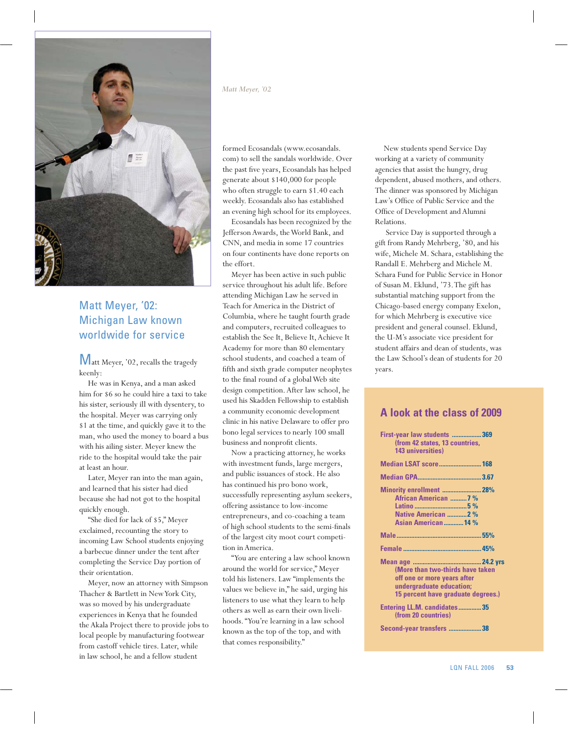

## Matt Meyer, '02: Michigan Law known worldwide for service

Matt Meyer, '02, recalls the tragedy keenly:

He was in Kenya, and a man asked him for \$6 so he could hire a taxi to take his sister, seriously ill with dysentery, to the hospital. Meyer was carrying only \$1 at the time, and quickly gave it to the man, who used the money to board a bus with his ailing sister. Meyer knew the ride to the hospital would take the pair at least an hour.

Later, Meyer ran into the man again, and learned that his sister had died because she had not got to the hospital quickly enough.

"She died for lack of \$5," Meyer exclaimed, recounting the story to incoming Law School students enjoying a barbecue dinner under the tent after completing the Service Day portion of their orientation.

Meyer, now an attorney with Simpson Thacher & Bartlett in New York City, was so moved by his undergraduate experiences in Kenya that he founded the Akala Project there to provide jobs to local people by manufacturing footwear from castoff vehicle tires. Later, while in law school, he and a fellow student

*Matt Meyer, '02*

formed Ecosandals (www.ecosandals. com) to sell the sandals worldwide. Over the past five years, Ecosandals has helped generate about \$140,000 for people who often struggle to earn \$1.40 each weekly. Ecosandals also has established an evening high school for its employees.

Ecosandals has been recognized by the Jefferson Awards, the World Bank, and CNN, and media in some 17 countries on four continents have done reports on the effort.

Meyer has been active in such public service throughout his adult life. Before attending Michigan Law he served in Teach for America in the District of Columbia, where he taught fourth grade and computers, recruited colleagues to establish the See It, Believe It, Achieve It Academy for more than 80 elementary school students, and coached a team of fifth and sixth grade computer neophytes to the final round of a global Web site design competition. After law school, he used his Skadden Fellowship to establish a community economic development clinic in his native Delaware to offer pro bono legal services to nearly 100 small business and nonprofit clients.

Now a practicing attorney, he works with investment funds, large mergers, and public issuances of stock. He also has continued his pro bono work, successfully representing asylum seekers, offering assistance to low-income entrepreneurs, and co-coaching a team of high school students to the semi-finals of the largest city moot court competition in America.

"You are entering a law school known around the world for service," Meyer told his listeners. Law "implements the values we believe in," he said, urging his listeners to use what they learn to help others as well as earn their own livelihoods. "You're learning in a law school known as the top of the top, and with that comes responsibility."

New students spend Service Day working at a variety of community agencies that assist the hungry, drug dependent, abused mothers, and others. The dinner was sponsored by Michigan Law's Office of Public Service and the Office of Development and Alumni Relations.

 Service Day is supported through a gift from Randy Mehrberg, '80, and his wife, Michele M. Schara, establishing the Randall E. Mehrberg and Michele M. Schara Fund for Public Service in Honor of Susan M. Eklund, '73. The gift has substantial matching support from the Chicago-based energy company Exelon, for which Mehrberg is executive vice president and general counsel. Eklund, the U-M's associate vice president for student affairs and dean of students, was the Law School's dean of students for 20 years.

#### **A look at the class of 2009**

| First-year law students 369<br>(from 42 states, 13 countries,<br><b>143 universities)</b>                                         |  |  |  |
|-----------------------------------------------------------------------------------------------------------------------------------|--|--|--|
| <b>Median LSAT score168</b>                                                                                                       |  |  |  |
|                                                                                                                                   |  |  |  |
| Minority enrollment  28%<br>African American 7%<br>Latino 5 %<br>Native American 2%<br>Asian American  14 %                       |  |  |  |
|                                                                                                                                   |  |  |  |
|                                                                                                                                   |  |  |  |
| (More than two-thirds have taken<br>off one or more years after<br>undergraduate education;<br>15 percent have graduate degrees.) |  |  |  |
| Entering LL.M. candidates 35<br>(from 20 countries)                                                                               |  |  |  |
| Second-year transfers 38                                                                                                          |  |  |  |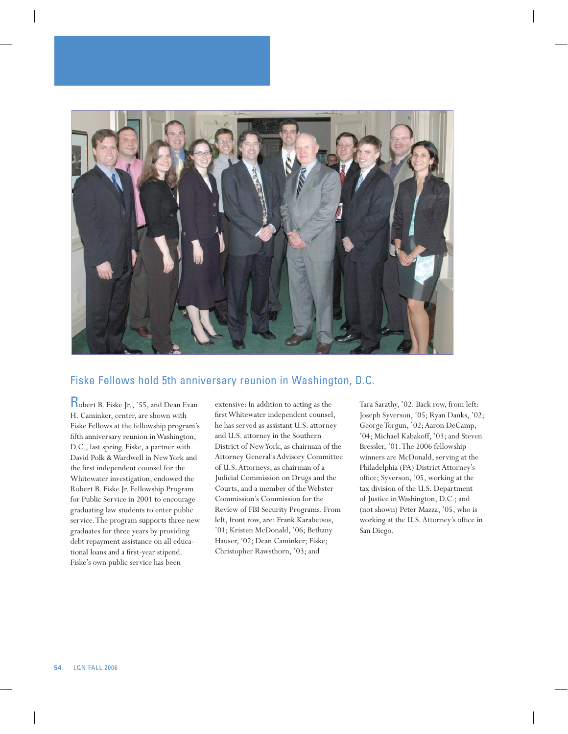

### Fiske Fellows hold 5th anniversary reunion in Washington, D.C.

Robert B. Fiske Jr., '55, and Dean Evan H. Caminker, center, are shown with Fiske Fellows at the fellowship program's fifth anniversary reunion in Washington, D.C., last spring. Fiske, a partner with David Polk & Wardwell in New York and the first independent counsel for the Whitewater investigation, endowed the Robert B. Fiske Jr. Fellowship Program for Public Service in 2001 to encourage graduating law students to enter public service. The program supports three new graduates for three years by providing debt repayment assistance on all educational loans and a first-year stipend. Fiske's own public service has been

extensive: In addition to acting as the first Whitewater independent counsel, he has served as assistant U.S. attorney and U.S. attorney in the Southern District of New York, as chairman of the Attorney General's Advisory Committee of U.S. Attorneys, as chairman of a Judicial Commission on Drugs and the Courts, and a member of the Webster Commission's Commission for the Review of FBI Security Programs. From left, front row, are: Frank Karabetsos, '01; Kristen McDonald, '06; Bethany Hauser, '02; Dean Caminker; Fiske; Christopher Rawsthorn, '03; and

Tara Sarathy, '02. Back row, from left: Joseph Syverson, '05; Ryan Danks, '02; George Torgun, '02; Aaron DeCamp, '04; Michael Kabakoff, '03; and Steven Bressler, '01. The 2006 fellowship winners are McDonald, serving at the Philadelphia (PA) District Attorney's office; Syverson, '05, working at the tax division of the U.S. Department of Justice in Washington, D.C.; and (not shown) Peter Mazza, '05, who is working at the U.S. Attorney's office in San Diego.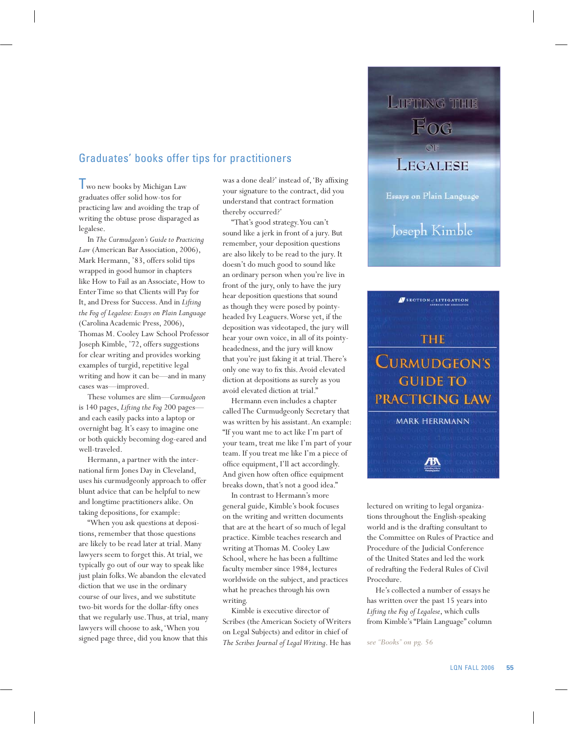## Graduates' books offer tips for practitioners

wo new books by Michigan Law graduates offer solid how-tos for practicing law and avoiding the trap of writing the obtuse prose disparaged as legalese.

In *The Curmudgeon's Guide to Practicing Law* (American Bar Association, 2006), Mark Hermann, '83, offers solid tips wrapped in good humor in chapters like How to Fail as an Associate, How to Enter Time so that Clients will Pay for It, and Dress for Success. And in *Lifting the Fog of Legalese: Essays on Plain Language* (Carolina Academic Press, 2006), Thomas M. Cooley Law School Professor Joseph Kimble, '72, offers suggestions for clear writing and provides working examples of turgid, repetitive legal writing and how it can be—and in many cases was—improved.

These volumes are slim—*Curmudgeon* is 140 pages, *Lifting the Fog* 200 pages and each easily packs into a laptop or overnight bag. It's easy to imagine one or both quickly becoming dog-eared and well-traveled.

Hermann, a partner with the international firm Jones Day in Cleveland, uses his curmudgeonly approach to offer blunt advice that can be helpful to new and longtime practitioners alike. On taking depositions, for example:

"When you ask questions at depositions, remember that those questions are likely to be read later at trial. Many lawyers seem to forget this. At trial, we typically go out of our way to speak like just plain folks. We abandon the elevated diction that we use in the ordinary course of our lives, and we substitute two-bit words for the dollar-fifty ones that we regularly use. Thus, at trial, many lawyers will choose to ask, 'When you signed page three, did you know that this

was a done deal?' instead of, 'By affixing your signature to the contract, did you understand that contract formation thereby occurred?'

"That's good strategy. You can't sound like a jerk in front of a jury. But remember, your deposition questions are also likely to be read to the jury. It doesn't do much good to sound like an ordinary person when you're live in front of the jury, only to have the jury hear deposition questions that sound as though they were posed by pointyheaded Ivy Leaguers. Worse yet, if the deposition was videotaped, the jury will hear your own voice, in all of its pointyheadedness, and the jury will know that you're just faking it at trial. There's only one way to fix this. Avoid elevated diction at depositions as surely as you avoid elevated diction at trial."

Hermann even includes a chapter called The Curmudgeonly Secretary that was written by his assistant. An example: "If you want me to act like I'm part of your team, treat me like I'm part of your team. If you treat me like I'm a piece of office equipment, I'll act accordingly. And given how often office equipment breaks down, that's not a good idea."

In contrast to Hermann's more general guide, Kimble's book focuses on the writing and written documents that are at the heart of so much of legal practice. Kimble teaches research and writing at Thomas M. Cooley Law School, where he has been a fulltime faculty member since 1984, lectures worldwide on the subject, and practices what he preaches through his own writing.

Kimble is executive director of Scribes (the American Society of Writers on Legal Subjects) and editor in chief of *The Scribes Journal of Legal Writing*. He has

lectured on writing to legal organizations throughout the English-speaking world and is the drafting consultant to the Committee on Rules of Practice and Procedure of the Judicial Conference of the United States and led the work of redrafting the Federal Rules of Civil Procedure.

LIFTING THE

Fog

LEGALESE

**Essays on Plain Language** 

Joseph Kimble

 $\sqrt{\text{SECTION}}$  section of Litigation

THE

**CURMUDGEON'S** 

**GUIDE TO PRACTICING LAW** 

**MARK HERRMANN** 

<u>ЛВ</u>

He's collected a number of essays he has written over the past 15 years into *Lifting the Fog of Legalese*, which culls from Kimble's "Plain Language" column

*see "Books" on pg. 56*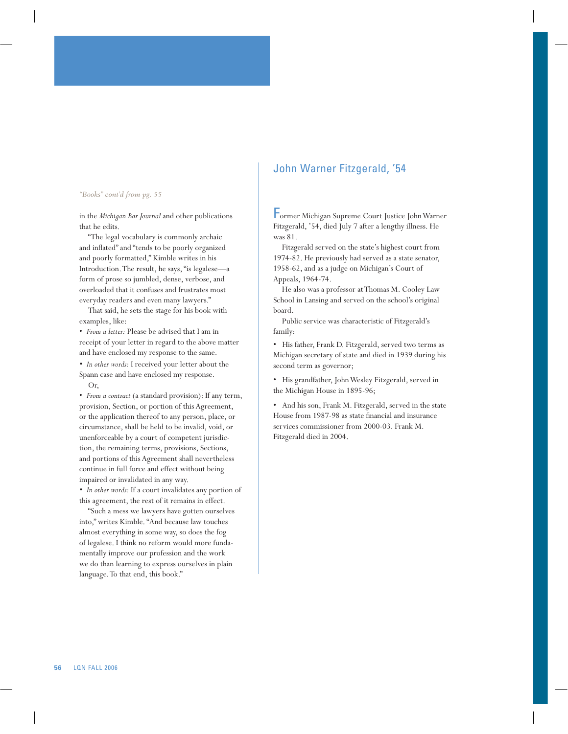#### *"Books" cont'd from pg. 55*

in the *Michigan Bar Journal* and other publications that he edits.

"The legal vocabulary is commonly archaic and inflated" and "tends to be poorly organized and poorly formatted," Kimble writes in his Introduction. The result, he says, "is legalese—a form of prose so jumbled, dense, verbose, and overloaded that it confuses and frustrates most everyday readers and even many lawyers."

That said, he sets the stage for his book with examples, like:

• *From a letter:* Please be advised that I am in receipt of your letter in regard to the above matter and have enclosed my response to the same.

*• In other words:* I received your letter about the Spann case and have enclosed my response. Or,

• *From a contract* (a standard provision): If any term, provision, Section, or portion of this Agreement, or the application thereof to any person, place, or circumstance, shall be held to be invalid, void, or unenforceable by a court of competent jurisdiction, the remaining terms, provisions, Sections, and portions of this Agreement shall nevertheless continue in full force and effect without being impaired or invalidated in any way.

*• In other words:* If a court invalidates any portion of this agreement, the rest of it remains in effect.

"Such a mess we lawyers have gotten ourselves into," writes Kimble. "And because law touches almost everything in some way, so does the fog of legalese. I think no reform would more fundamentally improve our profession and the work we do than learning to express ourselves in plain language. To that end, this book."

#### John Warner Fitzgerald, '54

Former Michigan Supreme Court Justice John Warner Fitzgerald, '54, died July 7 after a lengthy illness. He was 81.

Fitzgerald served on the state's highest court from 1974-82. He previously had served as a state senator, 1958-62, and as a judge on Michigan's Court of Appeals, 1964-74.

He also was a professor at Thomas M. Cooley Law School in Lansing and served on the school's original board.

Public service was characteristic of Fitzgerald's family:

• His father, Frank D. Fitzgerald, served two terms as Michigan secretary of state and died in 1939 during his second term as governor;

• His grandfather, John Wesley Fitzgerald, served in the Michigan House in 1895-96;

• And his son, Frank M. Fitzgerald, served in the state House from 1987-98 as state financial and insurance services commissioner from 2000-03. Frank M. Fitzgerald died in 2004.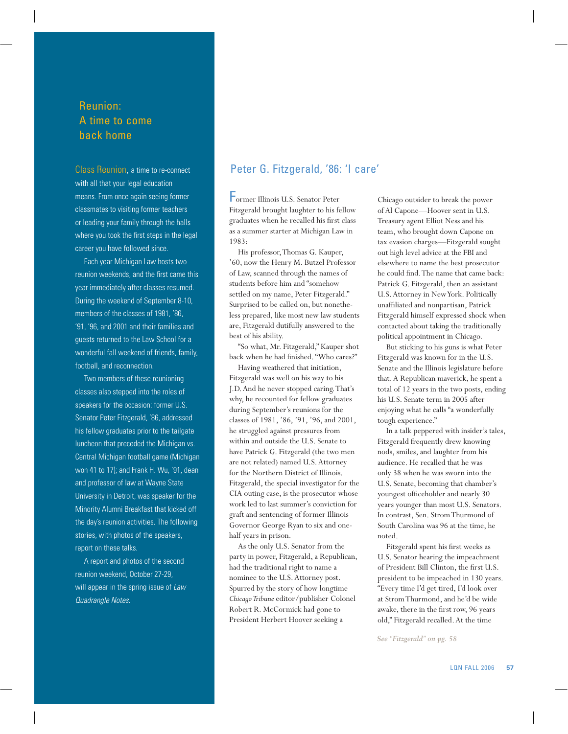## Reunion: A time to come back home

Class Reunion, a time to re-connect with all that your legal education means. From once again seeing former classmates to visiting former teachers or leading your family through the halls where you took the first steps in the legal career you have followed since.

Each year Michigan Law hosts two reunion weekends, and the first came this year immediately after classes resumed. During the weekend of September 8-10, members of the classes of 1981, '86, '91, '96, and 2001 and their families and guests returned to the Law School for a wonderful fall weekend of friends, family, football, and reconnection.

Two members of these reunioning classes also stepped into the roles of speakers for the occasion: former U.S. Senator Peter Fitzgerald, '86, addressed his fellow graduates prior to the tailgate luncheon that preceded the Michigan vs. Central Michigan football game (Michigan won 41 to 17); and Frank H. Wu, '91, dean and professor of law at Wayne State University in Detroit, was speaker for the Minority Alumni Breakfast that kicked off the day's reunion activities. The following stories, with photos of the speakers, report on these talks.

A report and photos of the second reunion weekend, October 27-29, will appear in the spring issue of Law Quadrangle Notes.

### Peter G. Fitzgerald, '86: 'I care'

Former Illinois U.S. Senator Peter Fitzgerald brought laughter to his fellow graduates when he recalled his first class as a summer starter at Michigan Law in 1983:

His professor, Thomas G. Kauper, '60, now the Henry M. Butzel Professor of Law, scanned through the names of students before him and "somehow settled on my name, Peter Fitzgerald." Surprised to be called on, but nonetheless prepared, like most new law students are, Fitzgerald dutifully answered to the best of his ability.

"So what, Mr. Fitzgerald," Kauper shot back when he had finished. "Who cares?"

Having weathered that initiation, Fitzgerald was well on his way to his J.D. And he never stopped caring. That's why, he recounted for fellow graduates during September's reunions for the classes of 1981, '86, '91, '96, and 2001, he struggled against pressures from within and outside the U.S. Senate to have Patrick G. Fitzgerald (the two men are not related) named U.S. Attorney for the Northern District of Illinois. Fitzgerald, the special investigator for the CIA outing case, is the prosecutor whose work led to last summer's conviction for graft and sentencing of former Illinois Governor George Ryan to six and onehalf years in prison.

As the only U.S. Senator from the party in power, Fitzgerald, a Republican, had the traditional right to name a nominee to the U.S. Attorney post. Spurred by the story of how longtime *Chicago Tribune* editor/publisher Colonel Robert R. McCormick had gone to President Herbert Hoover seeking a

Chicago outsider to break the power of Al Capone—Hoover sent in U.S. Treasury agent Elliot Ness and his team, who brought down Capone on tax evasion charges—Fitzgerald sought out high level advice at the FBI and elsewhere to name the best prosecutor he could find. The name that came back: Patrick G. Fitzgerald, then an assistant U.S. Attorney in New York. Politically unaffiliated and nonpartisan, Patrick Fitzgerald himself expressed shock when contacted about taking the traditionally political appointment in Chicago.

But sticking to his guns is what Peter Fitzgerald was known for in the U.S. Senate and the Illinois legislature before that. A Republican maverick, he spent a total of 12 years in the two posts, ending his U.S. Senate term in 2005 after enjoying what he calls "a wonderfully tough experience."

In a talk peppered with insider's tales, Fitzgerald frequently drew knowing nods, smiles, and laughter from his audience. He recalled that he was only 38 when he was sworn into the U.S. Senate, becoming that chamber's youngest officeholder and nearly 30 years younger than most U.S. Senators. In contrast, Sen. Strom Thurmond of South Carolina was 96 at the time, he noted.

Fitzgerald spent his first weeks as U.S. Senator hearing the impeachment of President Bill Clinton, the first U.S. president to be impeached in 130 years. "Every time I'd get tired, I'd look over at Strom Thurmond, and he'd be wide awake, there in the first row, 96 years old," Fitzgerald recalled. At the time

*See "Fitzgerald" on pg. 58*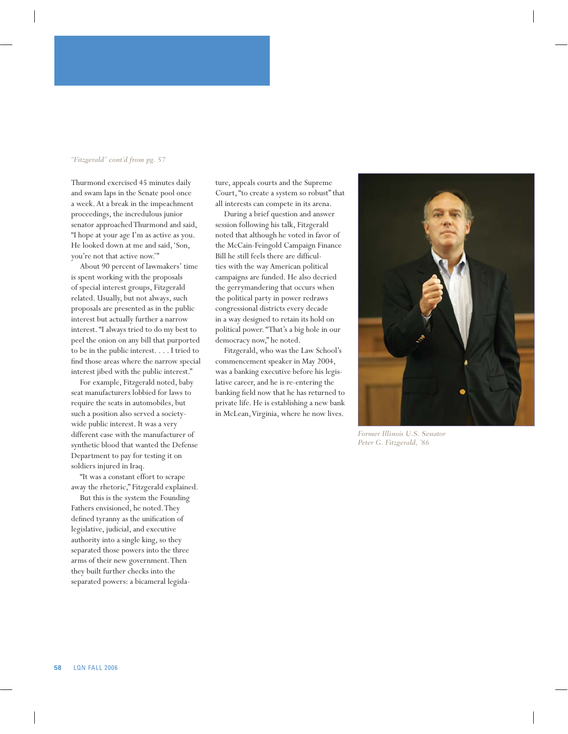#### *"Fitzgerald" cont'd from pg. 57*

Thurmond exercised 45 minutes daily and swam laps in the Senate pool once a week. At a break in the impeachment proceedings, the incredulous junior senator approached Thurmond and said, "I hope at your age I'm as active as you. He looked down at me and said, 'Son, you're not that active now.'"

About 90 percent of lawmakers' time is spent working with the proposals of special interest groups, Fitzgerald related. Usually, but not always, such proposals are presented as in the public interest but actually further a narrow interest. "I always tried to do my best to peel the onion on any bill that purported to be in the public interest. . . . I tried to find those areas where the narrow special interest jibed with the public interest."

For example, Fitzgerald noted, baby seat manufacturers lobbied for laws to require the seats in automobiles, but such a position also served a societywide public interest. It was a very different case with the manufacturer of synthetic blood that wanted the Defense Department to pay for testing it on soldiers injured in Iraq.

"It was a constant effort to scrape away the rhetoric," Fitzgerald explained.

But this is the system the Founding Fathers envisioned, he noted. They defined tyranny as the unification of legislative, judicial, and executive authority into a single king, so they separated those powers into the three arms of their new government. Then they built further checks into the separated powers: a bicameral legislature, appeals courts and the Supreme Court, "to create a system so robust" that all interests can compete in its arena.

During a brief question and answer session following his talk, Fitzgerald noted that although he voted in favor of the McCain-Feingold Campaign Finance Bill he still feels there are difficulties with the way American political campaigns are funded. He also decried the gerrymandering that occurs when the political party in power redraws congressional districts every decade in a way designed to retain its hold on political power. "That's a big hole in our democracy now," he noted.

Fitzgerald, who was the Law School's commencement speaker in May 2004, was a banking executive before his legislative career, and he is re-entering the banking field now that he has returned to private life. He is establishing a new bank in McLean, Virginia, where he now lives.



*Former Illinois U.S. Senator Peter G. Fitzgerald, '86*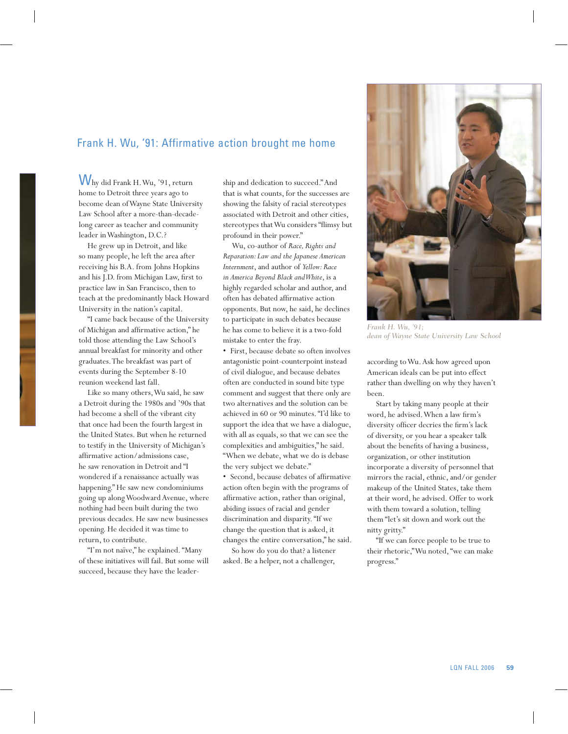#### Frank H. Wu, '91: Affirmative action brought me home

Why did Frank H. Wu, '91, return home to Detroit three years ago to become dean of Wayne State University Law School after a more-than-decadelong career as teacher and community leader in Washington, D.C.?

He grew up in Detroit, and like so many people, he left the area after receiving his B.A. from Johns Hopkins and his J.D. from Michigan Law, first to practice law in San Francisco, then to teach at the predominantly black Howard University in the nation's capital.

"I came back because of the University of Michigan and affirmative action," he told those attending the Law School's annual breakfast for minority and other graduates. The breakfast was part of events during the September 8-10 reunion weekend last fall.

Like so many others, Wu said, he saw a Detroit during the 1980s and '90s that had become a shell of the vibrant city that once had been the fourth largest in the United States. But when he returned to testify in the University of Michigan's affirmative action/admissions case, he saw renovation in Detroit and "I wondered if a renaissance actually was happening." He saw new condominiums going up along Woodward Avenue, where nothing had been built during the two previous decades. He saw new businesses opening. He decided it was time to return, to contribute.

"I'm not naïve," he explained. "Many of these initiatives will fail. But some will succeed, because they have the leadership and dedication to succeed." And that is what counts, for the successes are showing the falsity of racial stereotypes associated with Detroit and other cities, stereotypes that Wu considers "flimsy but profound in their power."

Wu, co-author of *Race, Rights and Reparation: Law and the Japanese American Internment*, and author of *Yellow: Race in America Beyond Black and White*, is a highly regarded scholar and author, and often has debated affirmative action opponents. But now, he said, he declines to participate in such debates because he has come to believe it is a two-fold mistake to enter the fray.

• First, because debate so often involves antagonistic point-counterpoint instead of civil dialogue, and because debates often are conducted in sound bite type comment and suggest that there only are two alternatives and the solution can be achieved in 60 or 90 minutes. "I'd like to support the idea that we have a dialogue, with all as equals, so that we can see the complexities and ambiguities," he said. "When we debate, what we do is debase the very subject we debate."

• Second, because debates of affirmative action often begin with the programs of affirmative action, rather than original, abiding issues of racial and gender discrimination and disparity. "If we change the question that is asked, it changes the entire conversation," he said.

So how do you do that? a listener asked. Be a helper, not a challenger,



*Frank H. Wu, '91; dean of Wayne State University Law School*

according to Wu. Ask how agreed upon American ideals can be put into effect rather than dwelling on why they haven't been.

Start by taking many people at their word, he advised. When a law firm's diversity officer decries the firm's lack of diversity, or you hear a speaker talk about the benefits of having a business, organization, or other institution incorporate a diversity of personnel that mirrors the racial, ethnic, and/or gender makeup of the United States, take them at their word, he advised. Offer to work with them toward a solution, telling them "let's sit down and work out the nitty gritty."

"If we can force people to be true to their rhetoric," Wu noted, "we can make progress."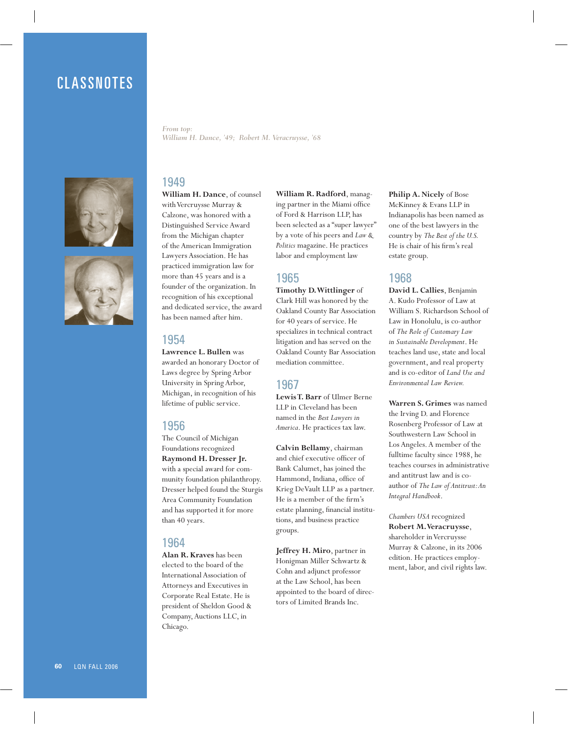# **CLASSNOTES**

*From top: William H. Dance, '49; Robert M. Veracruysse, '68* 





#### 1949

**William H. Dance**, of counsel with Vercruysse Murray & Calzone, was honored with a Distinguished Service Award from the Michigan chapter of the American Immigration Lawyers Association. He has practiced immigration law for more than 45 years and is a founder of the organization. In recognition of his exceptional and dedicated service, the award has been named after him.

### 1954

**Lawrence L. Bullen** was awarded an honorary Doctor of Laws degree by Spring Arbor University in Spring Arbor, Michigan, in recognition of his lifetime of public service.

### 1956

The Council of Michigan Foundations recognized **Raymond H. Dresser Jr.** with a special award for community foundation philanthropy. Dresser helped found the Sturgis Area Community Foundation and has supported it for more than 40 years.

#### 1964

**Alan R. Kraves** has been elected to the board of the International Association of Attorneys and Executives in Corporate Real Estate. He is president of Sheldon Good & Company, Auctions LLC, in Chicago.

**William R. Radford**, managing partner in the Miami office of Ford & Harrison LLP, has been selected as a "super lawyer" by a vote of his peers and *Law & Politics* magazine. He practices labor and employment law

### 1965

**Timothy D. Wittlinger** of

Clark Hill was honored by the Oakland County Bar Association for 40 years of service. He specializes in technical contract litigation and has served on the Oakland County Bar Association mediation committee.

### 1967

**Lewis T. Barr** of Ulmer Berne LLP in Cleveland has been named in the *Best Lawyers in America*. He practices tax law.

**Calvin Bellamy**, chairman and chief executive officer of Bank Calumet, has joined the Hammond, Indiana, office of Krieg DeVault LLP as a partner. He is a member of the firm's estate planning, financial institutions, and business practice groups.

**Jeffrey H. Miro**, partner in Honigman Miller Schwartz & Cohn and adjunct professor at the Law School, has been appointed to the board of directors of Limited Brands Inc.

**Philip A. Nicely** of Bose McKinney & Evans LLP in Indianapolis has been named as one of the best lawyers in the country by *The Best of the U.S.* He is chair of his firm's real estate group.

## 1968

**David L. Callies**, Benjamin A. Kudo Professor of Law at William S. Richardson School of Law in Honolulu, is co-author of *The Role of Customary Law in Sustainable Development*. He teaches land use, state and local government, and real property and is co-editor of *Land Use and Environmental Law Review.*

**Warren S. Grimes** was named the Irving D. and Florence Rosenberg Professor of Law at Southwestern Law School in Los Angeles. A member of the fulltime faculty since 1988, he teaches courses in administrative and antitrust law and is coauthor of *The Law of Antitrust: An Integral Handbook*.

*Chambers USA* recognized **Robert M. Veracruysse**, shareholder in Vercruysse Murray & Calzone, in its 2006 edition. He practices employment, labor, and civil rights law.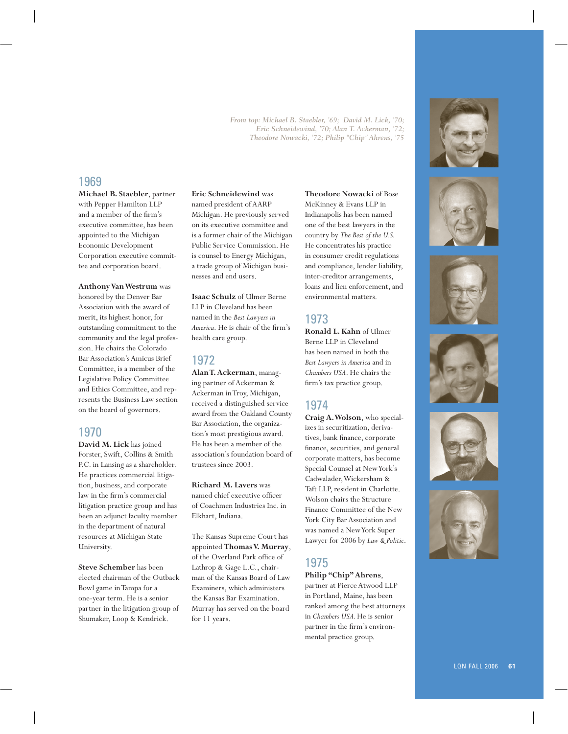*From top: Michael B. Staebler, '69; David M. Lick, '70; Eric Schneidewind, '70; Alan T. Ackerman, '72; Theodore Nowacki, '72; Philip "Chip" Ahrens, '75*



**Michael B. Staebler**, partner with Pepper Hamilton LLP and a member of the firm's executive committee, has been appointed to the Michigan Economic Development Corporation executive committee and corporation board.

#### **Anthony Van Westrum** was

honored by the Denver Bar Association with the award of merit, its highest honor, for outstanding commitment to the community and the legal profession. He chairs the Colorado Bar Association's Amicus Brief Committee, is a member of the Legislative Policy Committee and Ethics Committee, and represents the Business Law section on the board of governors.

#### 1970

**David M. Lick** has joined Forster, Swift, Collins & Smith P.C. in Lansing as a shareholder. He practices commercial litigation, business, and corporate law in the firm's commercial litigation practice group and has been an adjunct faculty member in the department of natural resources at Michigan State University.

**Steve Schember** has been elected chairman of the Outback Bowl game in Tampa for a one-year term. He is a senior partner in the litigation group of Shumaker, Loop & Kendrick.

#### **Eric Schneidewind** was

named president of AARP Michigan. He previously served on its executive committee and is a former chair of the Michigan Public Service Commission. He is counsel to Energy Michigan, a trade group of Michigan businesses and end users.

**Isaac Schulz** of Ulmer Berne LLP in Cleveland has been named in the *Best Lawyers in America*. He is chair of the firm's health care group.

#### 1972

**Alan T. Ackerman**, managing partner of Ackerman & Ackerman in Troy, Michigan, received a distinguished service award from the Oakland County Bar Association, the organization's most prestigious award. He has been a member of the association's foundation board of trustees since 2003.

#### **Richard M. Lavers** was

named chief executive officer of Coachmen Industries Inc. in Elkhart, Indiana.

The Kansas Supreme Court has appointed **Thomas V. Murray**, of the Overland Park office of Lathrop & Gage L.C., chairman of the Kansas Board of Law Examiners, which administers the Kansas Bar Examination. Murray has served on the board for 11 years.

**Theodore Nowacki** of Bose McKinney & Evans LLP in Indianapolis has been named one of the best lawyers in the country by *The Best of the U.S.*  He concentrates his practice in consumer credit regulations and compliance, lender liability, inter-creditor arrangements, loans and lien enforcement, and environmental matters.

#### 1973

**Ronald L. Kahn** of Ulmer Berne LLP in Cleveland has been named in both the *Best Lawyers in America* and in *Chambers USA*. He chairs the firm's tax practice group.

### 1974

**Craig A. Wolson**, who specializes in securitization, derivatives, bank finance, corporate finance, securities, and general corporate matters, has become Special Counsel at New York's Cadwalader, Wickersham & Taft LLP, resident in Charlotte. Wolson chairs the Structure Finance Committee of the New York City Bar Association and was named a New York Super Lawyer for 2006 by *Law & Politic*.

## 1975

#### **Philip "Chip" Ahrens**,

partner at Pierce Atwood LLP in Portland, Maine, has been ranked among the best attorneys in *Chambers USA.* He is senior partner in the firm's environmental practice group.











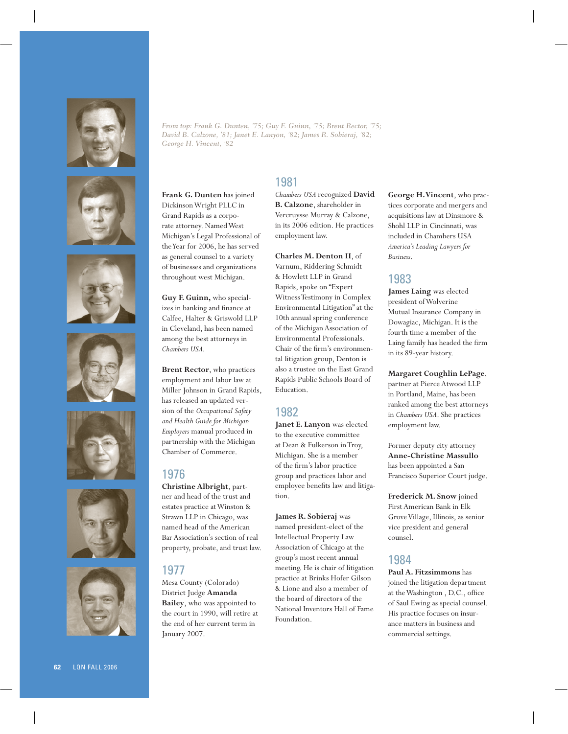













*From top: Frank G. Dunten, '75; Guy F. Guinn, '75; Brent Rector, '75; David B. Calzone, '81; Janet E. Lanyon, '82; James R. Sobieraj, '82; George H. Vincent, '82*

**Frank G. Dunten** has joined Dickinson Wright PLLC in Grand Rapids as a corporate attorney. Named West Michigan's Legal Professional of the Year for 2006, he has served as general counsel to a variety of businesses and organizations throughout west Michigan.

**Guy F. Guinn,** who specializes in banking and finance at Calfee, Halter & Griswold LLP in Cleveland, has been named among the best attorneys in *Chambers USA.*

**Brent Rector**, who practices employment and labor law at Miller Johnson in Grand Rapids, has released an updated version of the *Occupational Safety and Health Guide for Michigan Employers* manual produced in partnership with the Michigan Chamber of Commerce.

## 1976

**Christine Albright**, partner and head of the trust and estates practice at Winston & Strawn LLP in Chicago, was named head of the American Bar Association's section of real property, probate, and trust law.

## 1977

Mesa County (Colorado) District Judge **Amanda Bailey**, who was appointed to the court in 1990, will retire at the end of her current term in January 2007.

### 1981

*Chambers USA* recognized **David B. Calzone**, shareholder in Vercruysse Murray & Calzone, in its 2006 edition. He practices employment law.

#### **Charles M. Denton II**, of

Varnum, Riddering Schmidt & Howlett LLP in Grand Rapids, spoke on "Expert Witness Testimony in Complex Environmental Litigation" at the 10th annual spring conference of the Michigan Association of Environmental Professionals. Chair of the firm's environmental litigation group, Denton is also a trustee on the East Grand Rapids Public Schools Board of Education.

### 1982

**Janet E. Lanyon** was elected to the executive committee at Dean & Fulkerson in Troy, Michigan. She is a member of the firm's labor practice group and practices labor and employee benefits law and litigation.

**James R. Sobieraj** was named president-elect of the Intellectual Property Law Association of Chicago at the group's most recent annual meeting. He is chair of litigation practice at Brinks Hofer Gilson & Lione and also a member of the board of directors of the National Inventors Hall of Fame Foundation.

**George H. Vincent**, who practices corporate and mergers and acquisitions law at Dinsmore & Shohl LLP in Cincinnati, was included in Chambers USA *America's Leading Lawyers for Business*.

## 1983

**James Laing** was elected president of Wolverine Mutual Insurance Company in Dowagiac, Michigan. It is the fourth time a member of the Laing family has headed the firm in its 89-year history.

#### **Margaret Coughlin LePage**,

partner at Pierce Atwood LLP in Portland, Maine, has been ranked among the best attorneys in *Chambers USA*. She practices employment law.

Former deputy city attorney **Anne-Christine Massullo** has been appointed a San Francisco Superior Court judge.

**Frederick M. Snow** joined First American Bank in Elk Grove Village, Illinois, as senior vice president and general counsel.

## 1984

**Paul A. Fitzsimmons** has joined the litigation department at the Washington , D.C., office of Saul Ewing as special counsel. His practice focuses on insurance matters in business and commercial settings.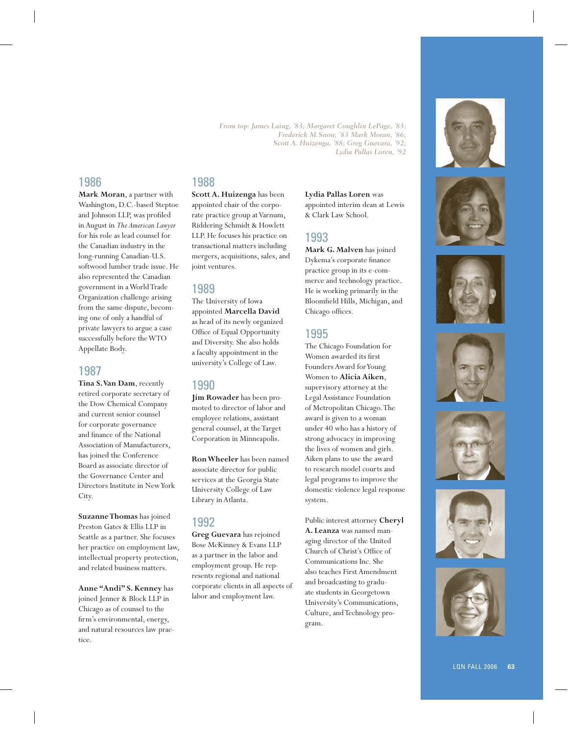













#### *From top: James Laing, '83; Margaret Coughlin LePage, '83; Frederick M.Snow, '83 Mark Moran, '86; Scott A. Huizenga, '88; Greg Guevara, '92; Lydia Pallas Loren, '92*

#### 1986

**Mark Moran**, a partner with Washington, D.C.-based Steptoe and Johnson LLP, was profiled in August in *The American Lawyer* for his role as lead counsel for the Canadian industry in the long-running Canadian-U.S. softwood lumber trade issue. He also represented the Canadian government in a World Trade Organization challenge arising from the same dispute, becoming one of only a handful of private lawyers to argue a case successfully before the WTO Appellate Body.

#### 1987

**Tina S. Van Dam**, recently retired corporate secretary of the Dow Chemical Company and current senior counsel for corporate governance and finance of the National Association of Manufacturers, has joined the Conference Board as associate director of the Governance Center and Directors Institute in New York City.

**Suzanne Thomas** has joined Preston Gates & Ellis LLP in Seattle as a partner. She focuses her practice on employment law, intellectual property protection, and related business matters.

**Anne "Andi" S. Kenney** has joined Jenner & Block LLP in Chicago as of counsel to the firm's environmental, energy, and natural resources law practice.

### 1988

**Scott A. Huizenga** has been appointed chair of the corporate practice group at Varnum, Riddering Schmidt & Howlett LLP. He focuses his practice on transactional matters including mergers, acquisitions, sales, and joint ventures.

#### 1989

The University of Iowa appointed **Marcella David** as head of its newly organized Office of Equal Opportunity and Diversity. She also holds a faculty appointment in the university's College of Law.

#### 1990

**Jim Rowader** has been promoted to director of labor and employee relations, assistant general counsel, at the Target Corporation in Minneapolis.

**Ron Wheeler** has been named associate director for public services at the Georgia State University College of Law Library in Atlanta.

### 1992

**Greg Guevara** has rejoined Bose McKinney & Evans LLP as a partner in the labor and employment group. He represents regional and national corporate clients in all aspects of labor and employment law.

#### **Lydia Pallas Loren** was

appointed interim dean at Lewis & Clark Law School.

#### 1993

**Mark G. Malven** has joined Dykema's corporate finance practice group in its e-commerce and technology practice. He is working primarily in the Bloomfield Hills, Michigan, and Chicago offices.

#### 1995

The Chicago Foundation for Women awarded its first Founders Award for Young Women to **Alicia Aiken**, supervisory attorney at the Legal Assistance Foundation of Metropolitan Chicago. The award is given to a woman under 40 who has a history of strong advocacy in improving the lives of women and girls. Aiken plans to use the award to research model courts and legal programs to improve the domestic violence legal response system.

Public interest attorney **Cheryl A. Leanza** was named managing director of the United Church of Christ's Office of Communications Inc. She also teaches First Amendment and broadcasting to graduate students in Georgetown University's Communications, Culture, and Technology program.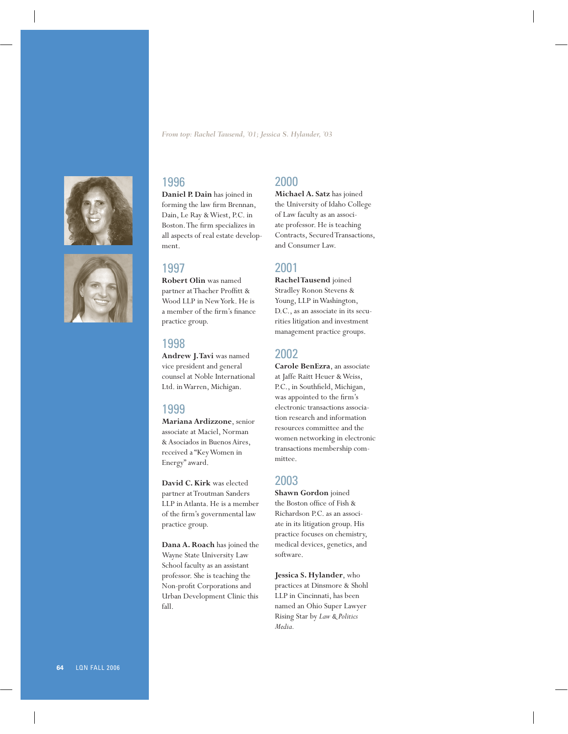





#### 1996

**Daniel P. Dain** has joined in forming the law firm Brennan, Dain, Le Ray & Wiest, P.C. in Boston. The firm specializes in all aspects of real estate development.

### 1997

**Robert Olin** was named partner at Thacher Proffitt & Wood LLP in New York. He is a member of the firm's finance practice group.

#### 1998

**Andrew J. Tavi** was named vice president and general counsel at Noble International Ltd. in Warren, Michigan.

### 1999

**Mariana Ardizzone**, senior associate at Maciel, Norman & Asociados in Buenos Aires, received a "Key Women in Energy" award.

**David C. Kirk** was elected partner at Troutman Sanders LLP in Atlanta. He is a member of the firm's governmental law practice group.

**Dana A. Roach** has joined the Wayne State University Law School faculty as an assistant professor. She is teaching the Non-profit Corporations and Urban Development Clinic this fall.

#### 2000

**Michael A. Satz** has joined the University of Idaho College of Law faculty as an associate professor. He is teaching Contracts, Secured Transactions, and Consumer Law.

### 2001

**Rachel Tausend** joined Stradley Ronon Stevens & Young, LLP in Washington, D.C., as an associate in its securities litigation and investment management practice groups.

### 2002

**Carole BenEzra**, an associate at Jaffe Raitt Heuer & Weiss, P.C., in Southfield, Michigan, was appointed to the firm's electronic transactions association research and information resources committee and the women networking in electronic transactions membership committee.

### 2003

**Shawn Gordon** joined the Boston office of Fish & Richardson P.C. as an associate in its litigation group. His practice focuses on chemistry, medical devices, genetics, and software.

**Jessica S. Hylander**, who practices at Dinsmore & Shohl LLP in Cincinnati, has been named an Ohio Super Lawyer Rising Star by *Law & Politics Media.*